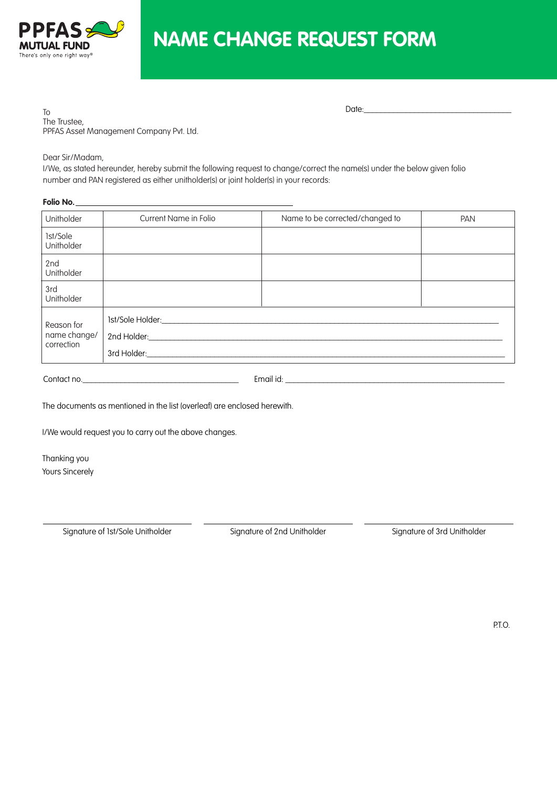

# **NAME CHANGE REQUEST FORM**

To The Trustee, PPFAS Asset Management Company Pvt. Ltd.

Dear Sir/Madam,

I/We, as stated hereunder, hereby submit the following request to change/correct the name(s) under the below given folio number and PAN registered as either unitholder(s) or joint holder(s) in your records:

## **Folio No.**

| Unitholder                               | Current Name in Folio                | Name to be corrected/changed to | PAN |
|------------------------------------------|--------------------------------------|---------------------------------|-----|
| 1st/Sole<br>Unitholder                   |                                      |                                 |     |
| 2nd<br>Unitholder                        |                                      |                                 |     |
| 3rd<br>Unitholder                        |                                      |                                 |     |
| Reason for<br>name change/<br>correction | 1st/Sole Holder:<br>2nd Holder: 2008 |                                 |     |

Contact no.\_\_\_\_\_\_\_\_\_\_\_\_\_\_\_\_\_\_\_\_\_\_\_\_\_\_\_\_\_\_\_\_\_\_\_\_\_ Email id: \_\_\_\_\_\_\_\_\_\_\_\_\_\_\_\_\_\_\_\_\_\_\_\_\_\_\_\_\_\_\_\_\_\_\_\_\_\_\_\_\_\_\_\_\_\_\_\_\_\_\_\_

The documents as mentioned in the list (overleaf) are enclosed herewith.

I/We would request you to carry out the above changes.

Thanking you Yours Sincerely

Signature of 1st/Sole Unitholder Signature of 2nd Unitholder Signature of 3rd Unitholder Signature of 3rd Unitholder

Date: